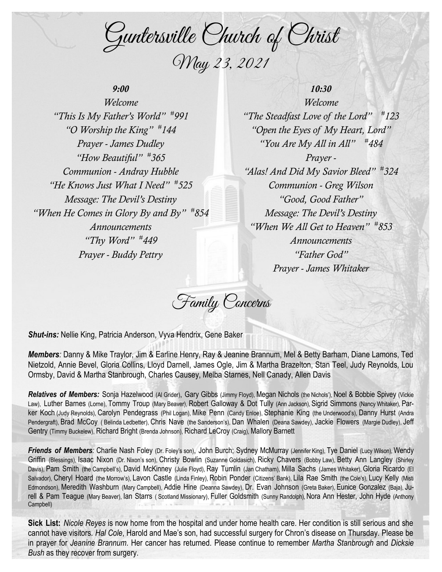Guntersville Church of Christ May 23, 2021

# *9:00*

*Welcome "This Is My Father's World" # 991 "O Worship the King" # 144 Prayer - James Dudley "How Beautiful" # 365 Communion - Andray Hubble "He Knows Just What I Need" # 525 Message: The Devil's Destiny "When He Comes in Glory By and By" # 854 Announcements "Thy Word" # 449 Prayer - Buddy Pettry*

# *10:30*

*Welcome "The Steadfast Love of the Lord" # 123 "Open the Eyes of My Heart, Lord" "You Are My All in All" # 484 Prayer - "Alas! And Did My Savior Bleed" # 324 Communion - Greg Wilson "Good, Good Father" Message: The Devil's Destiny "When We All Get to Heaven" # 853 Announcements "Father God" Prayer - James Whitaker*

Family Concerns

*Shut-ins:* Nellie King, Patricia Anderson, Vyva Hendrix, Gene Baker

*Members:* Danny & Mike Traylor, Jim & Earline Henry, Ray & Jeanine Brannum, Mel & Betty Barham, Diane Lamons, Ted Nietzold, Annie Bevel, Gloria Collins, Lloyd Darnell, James Ogle, Jim & Martha Brazelton, Stan Teel, Judy Reynolds, Lou Ormsby, David & Martha Stanbrough, Charles Causey, Melba Starnes, Nell Canady, Allen Davis

**Relatives of Members:** Sonia Hazelwood (Al Grider), Gary Gibbs (Jimmy Floyd), Megan Nichols (the Nichols'), Noel & Bobbie Spivey (Vickie Law), Luther Barnes (Lorne), Tommy Troup (Mary Beaver), Robert Galloway & Dot Tully (Ann Jackson), Sigrid Simmons (Nancy Whitaker), Parker Koch (Judy Reynolds), Carolyn Pendegrass (Phil Logan), Mike Penn (Candy Enloe), Stephanie King (the Underwood's), Danny Hurst (Andra Pendergraft), Brad McCoy ( Belinda Ledbetter), Chris Nave (the Sanderson's), Dan Whalen (Deana Sawdey), Jackie Flowers (Margie Dudley), Jeff Gentry (Timmy Buckelew), Richard Bright (Brenda Johnson), Richard LeCroy (Craig), Mallory Barnett

*Friends of Members:* Charlie Nash Foley (Dr. Foley's son), John Burch; Sydney McMurray (Jennifer King), Tye Daniel (Lucy Wilson), Wendy Griffin (Blessings), Isaac Nixon (Dr. Nixon's son), Christy Bowlin (Suzanne Goldasich), Ricky Chavers (Bobby Law), Betty Ann Langley (Shirley Davis), Pam Smith (the Campbell's), David McKinney (Julie Floyd), Ray Tumlin (Jan Chatham), Milla Sachs (James Whitaker), Gloria Ricardo (El Salvador), Cheryl Hoard (the Morrow's), Lavon Castle (Linda Finley), Robin Ponder (Citizens' Bank), Lila Rae Smith (the Cole's), Lucy Kelly (Misti Edmondson), Meredith Washburn (Mary Campbell), Addie Hine (Deanna Sawdey), Dr. Evan Johnson (Greta Baker), Eunice Gonzalez (Baja), Jurell & Pam Teague (Mary Beaver), Ian Starrs ( Scotland Missionary), Fuller Goldsmith (Sunny Randolph), Nora Ann Hester, John Hyde (Anthony Campbell)

**Sick List:** *Nicole Reyes* is now home from the hospital and under home health care. Her condition is still serious and she cannot have visitors. *Hal Cole*, Harold and Mae's son, had successful surgery for Chron's disease on Thursday. Please be in prayer for *Jeanine Brannum*. Her cancer has returned. Please continue to remember *Martha Stanbrough* and *Dicksie Bush* as they recover from surgery.